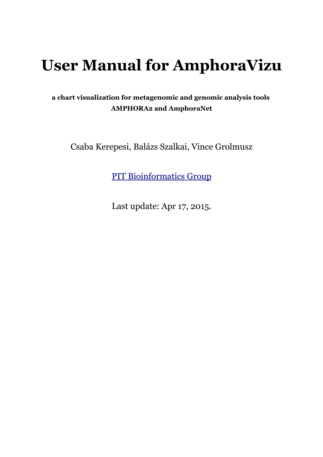# **User Manual for AmphoraVizu**

**a chart visualization for metagenomic and genomic analysis tools AMPHORA2 and AmphoraNet**

Csaba Kerepesi, Balázs Szalkai, Vince Grolmusz

[PIT Bioinformatics Group](http://pitgroup.org/)

Last update: Apr 17, 2015.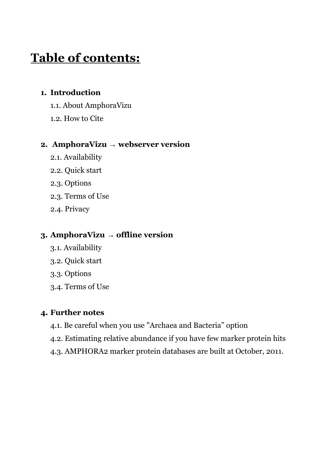### **Table of contents:**

#### **1. Introduction**

- 1.1. About AmphoraVizu
- 1.2. How to Cite

#### **2. AmphoraVizu → webserver version**

- 2.1. Availability
- 2.2. Quick start
- 2.3. Options
- 2.3. Terms of Use
- 2.4. Privacy

#### **3. AmphoraVizu → offline version**

- 3.1. Availability
- 3.2. Quick start
- 3.3. Options
- 3.4. Terms of Use

#### **4. Further notes**

- 4.1. Be careful when you use "Archaea and Bacteria" option
- 4.2. Estimating relative abundance if you have few marker protein hits
- 4.3. AMPHORA2 marker protein databases are built at October, 2011.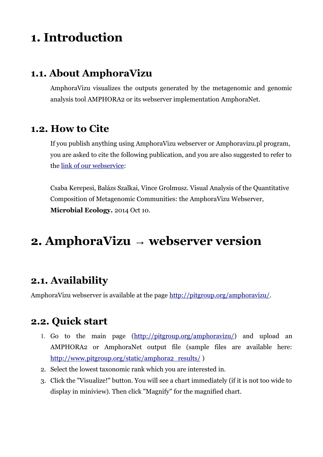### **1. Introduction**

#### **1.1. About AmphoraVizu**

AmphoraVizu visualizes the outputs generated by the metagenomic and genomic analysis tool AMPHORA2 or its webserver implementation AmphoraNet.

#### **1.2. How to Cite**

If you publish anything using AmphoraVizu webserver or Amphoravizu.pl program, you are asked to cite the following publication, and you are also suggested to refer to the [link of our webservice:](http://pitgroup.org/amphoravizu/)

Csaba Kerepesi, Balázs Szalkai, Vince Grolmusz. Visual Analysis of the Quantitative Composition of Metagenomic Communities: the AmphoraVizu Webserver, **Microbial Ecology.** 2014 Oct 10.

### **2. AmphoraVizu → webserver version**

#### **2.1. Availability**

AmphoraVizu webserver is available at the page [http://pitgroup.org/amphoravizu/.](http://pitgroup.org/amphoravizu/)

#### **2.2. Quick start**

- 1. Go to the main page [\(http://pitgroup.org/amphoravizu/\)](http://pitgroup.org/amphoravizu/) and upload an AMPHORA2 or AmphoraNet output file (sample files are available here: [http://www.pitgroup.org/static/amphora2\\_results/](http://www.pitgroup.org/static/amphora2_results/) )
- 2. Select the lowest taxonomic rank which you are interested in.
- 3. Click the "Visualize!" button. You will see a chart immediately (if it is not too wide to display in miniview). Then click "Magnify" for the magnified chart.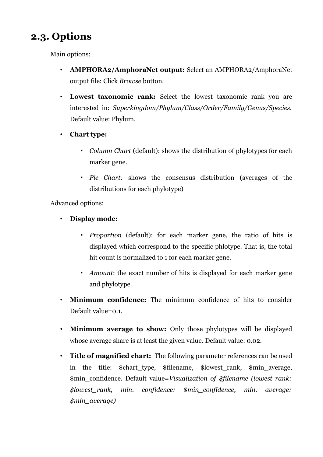### **2.3. Options**

Main options:

- **AMPHORA2/AmphoraNet output:** Select an AMPHORA2/AmphoraNet output file: Click *Browse* button.
- **Lowest taxonomic rank:** Select the lowest taxonomic rank you are interested in: *Superkingdom/Phylum/Class/Order/Family/Genus/Species.* Default value: Phylum.
- **Chart type:** 
	- *Column Chart* (default): shows the distribution of phylotypes for each marker gene.
	- *Pie Chart:* shows the consensus distribution (averages of the distributions for each phylotype)

Advanced options:

- **Display mode:**
	- *Proportion* (default): for each marker gene, the ratio of hits is displayed which correspond to the specific phlotype. That is, the total hit count is normalized to 1 for each marker gene.
	- *Amount*: the exact number of hits is displayed for each marker gene and phylotype.
- **Minimum confidence:** The minimum confidence of hits to consider Default value=0.1.
- **Minimum average to show:** Only those phylotypes will be displayed whose average share is at least the given value. Default value: 0.02.
- **Title of magnified chart:** The following parameter references can be used in the title: \$chart\_type, \$filename, \$lowest\_rank, \$min\_average, \$min\_confidence. Default value=*Visualization of \$filename (lowest rank: \$lowest\_rank, min. confidence: \$min\_confidence, min. average: \$min\_average)*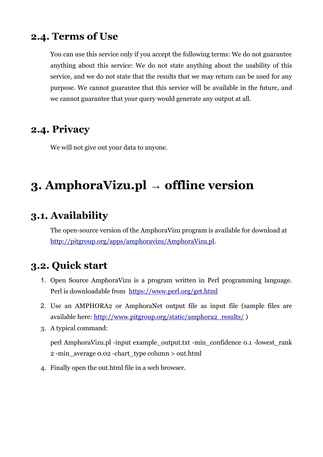#### **2.4. Terms of Use**

You can use this service only if you accept the following terms: We do not guarantee anything about this service: We do not state anything about the usability of this service, and we do not state that the results that we may return can be used for any purpose. We cannot guarantee that this service will be available in the future, and we cannot guarantee that your query would generate any output at all.

#### **2.4. Privacy**

We will not give out your data to anyone.

## **3. AmphoraVizu.pl → offline version**

### **3.1. Availability**

The open-source version of the AmphoraVizu program is available for download at [http://pitgroup.org/apps/amphoravizu/AmphoraVizu.pl.](http://pitgroup.org/apps/amphoravizu/AmphoraVizu.pl)

#### **3.2. Quick start**

- 1. Open Source AmphoraVizu is a program written in Perl programming language. Perl is downloadable from <https://www.perl.org/get.html>
- 2. Use an AMPHORA2 or AmphoraNet output file as input file (sample files are available here: [http://www.pitgroup.org/static/amphora2\\_results/](http://www.pitgroup.org/static/amphora2_results/) )
- 3. A typical command:

perl AmphoraVizu.pl -input example\_output.txt -min\_confidence 0.1 -lowest\_rank 2 -min\_average 0.02 -chart\_type column > out.html

4. Finally open the out.html file in a web browser.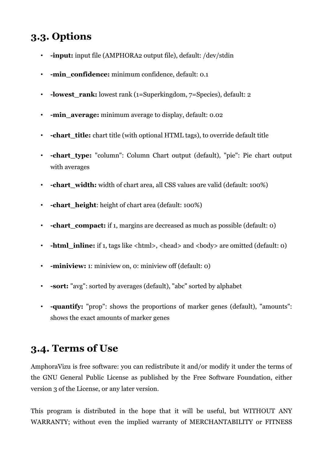### **3.3. Options**

- **-input:** input file (AMPHORA2 output file), default: /dev/stdin
- **-min\_confidence:** minimum confidence, default: 0.1
- **-lowest rank:** lowest rank (1=Superkingdom, 7=Species), default: 2
- **-min\_average:** minimum average to display, default: 0.02
- **-chart\_title:** chart title (with optional HTML tags), to override default title
- **-chart\_type:** "column": Column Chart output (default), "pie": Pie chart output with averages
- **-chart\_width:** width of chart area, all CSS values are valid (default: 100%)
- **-chart\_height**: height of chart area (default: 100%)
- **-chart** compact: if 1, margins are decreased as much as possible (default: 0)
- **-html** inline: if 1, tags like <html>, <head> and <br/> <br/>loody> are omitted (default: 0)
- **-miniview:** 1: miniview on, 0: miniview off (default: 0)
- **-sort:** "avg": sorted by averages (default), "abc" sorted by alphabet
- **-quantify:** "prop": shows the proportions of marker genes (default), "amounts": shows the exact amounts of marker genes

#### **3.4. Terms of Use**

AmphoraVizu is free software: you can redistribute it and/or modify it under the terms of the GNU General Public License as published by the Free Software Foundation, either version 3 of the License, or any later version.

This program is distributed in the hope that it will be useful, but WITHOUT ANY WARRANTY; without even the implied warranty of MERCHANTABILITY or FITNESS